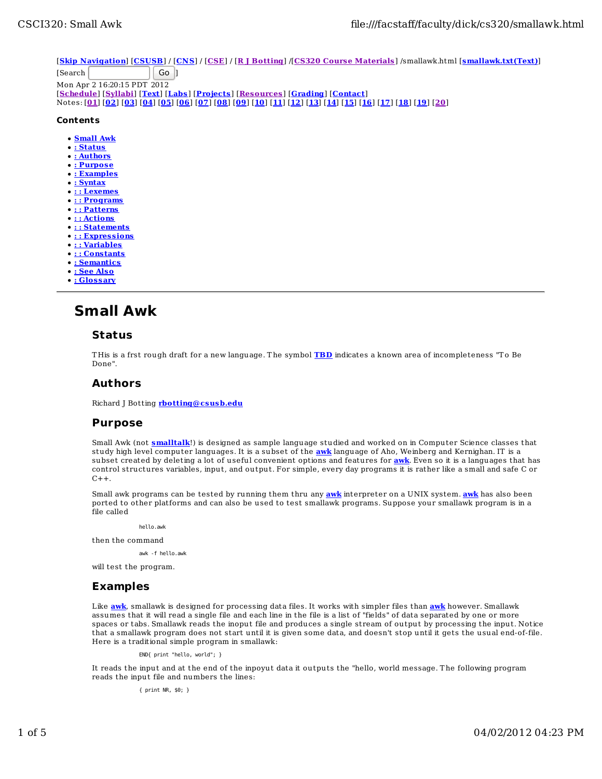[**Skip Navigation**] [**CSUSB**] / [**CNS**] / [**CSE**] / [**R J Botting**] /[**CS320 Course Materials**] /smallawk.html [**smallawk.txt(Text)**]

[Search Go ] Mon Apr 2 16:20:15 PDT 2012 [**Schedule**] [**Syllabi**] [**Text**] [**Labs**] [**Projects**] [**Resources**] [**Grading**] [**Contact**] Notes: [<u>01] [02] [03] [04] [05] [06] [07] [08] [09] [10] [11] [12] [13] [14] [15] [16] [17] [18] [19] [20]</u>

### **Contents**

- **Small Awk**
- **: Status**
- **: Authors**
- **: Purpose**
- **: Examples**
- **: Syntax**
- **: : Lexemes**
- **: : Programs**
- **: : Patterns**
- **: : Actions**
- **: : Statements**
- **:** : Expressions
- **: : Variables**
- **: : Constants**
- **: Semantics**
- **: See Also**
- **: Glossary**
- 

# **Small Awk**

# **Status**

T His is a frst rough draft for a new language. T he symbol **TBD** indicates a known area of incompleteness "T o Be Done".

# **Authors**

Richard J Botting **rbotting@csusb.edu**

# **Purpose**

Small Awk (not **smalltalk**!) is designed as sample language studied and worked on in Computer Science classes that study high level computer languages. It is a subset of the **awk** language of Aho, Weinberg and Kernighan. IT is a subset created by deleting a lot of useful convenient options and features for **awk**. Even so it is a languages that has control structures variables, input, and output. For simple, every day programs it is rather like a small and safe C or  $C++$ .

Small awk programs can be tested by running them thru any **awk** interpreter on a UNIX system. **awk** has also been ported to other platforms and can also be used to test smallawk programs. Suppose your smallawk program is in a file called

hello.awk

then the command

awk -f hello.awk

will test the program.

# **Examples**

Like **awk**, smallawk is designed for processing data files. It works with simpler files than **awk** however. Smallawk assumes that it will read a single file and each line in the file is a list of "fields" of data separated by one or more spaces or tabs. Smallawk reads the inoput file and produces a single stream of output by processing the input. Notice that a smallawk program does not start until it is given some data, and doesn't stop until it gets the usual end-of-file. Here is a traditional simple program in smallawk:

END{ print "hello, world"; }

It reads the input and at the end of the inpoyut data it outputs the "hello, world message. T he following program reads the input file and numbers the lines:

{ print NR, \$0; }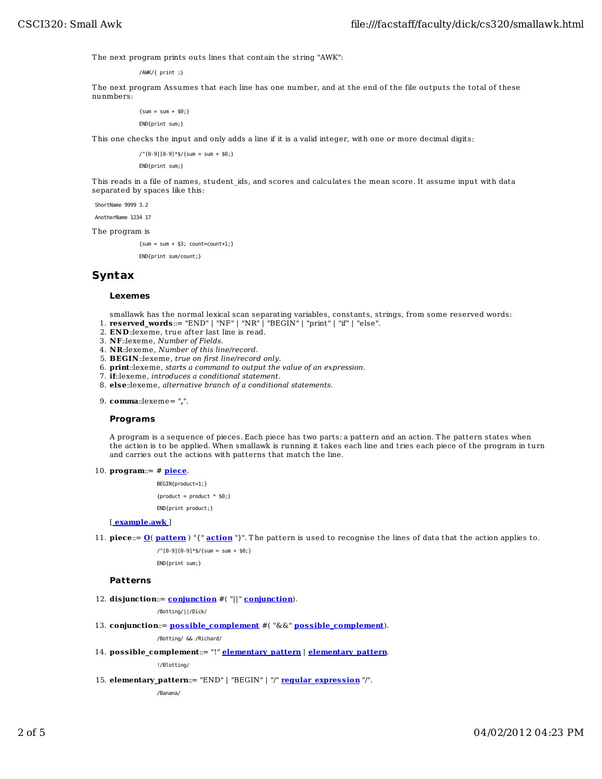The next program prints outs lines that contain the string "AWK":

/AWK/{ print ;}

T he next program Assumes that each line has one number, and at the end of the file outputs the total of these nunmbers:

> ${sum = sum + $0;}$ END{print sum;}

T his one checks the input and only adds a line if it is a valid integer, with one or more decimal digits:

 $\frac{1}{6}$  (0-9][0-9]\*\$/{sum = sum + \$0;} END{print sum;}

T his reads in a file of names, student\_ids, and scores and calculates the mean score. It assume input with data separated by spaces like this:

ShortName 9999 3.2

AnotherName 1234 17

T he program is

 ${sum = sum + $3; count=count+1;}$ END{print sum/count;}

# **Syntax**

### **Lexemes**

smallawk has the normal lexical scan separating variables, constants, strings, from some reserved words: 1. **reserved\_words**::= "END" | "NF" | "NR" | "BEGIN" | "print" | "if" | "else".

- 2. **END**::lexeme, true after last line is read.
- 3. **NF**::lexeme, *Number of Fields*.
- 
- 4. **NR**::lexeme, *Number of this line/record*. 5. **BEGIN**::lexeme, *true on first line/record only*.
- 6. **print**::lexeme, *starts a command to output the value of an expression*.
- 7. **if**::lexeme, *introduces a conditional statement*.
- 8. **else**::lexeme, *alternative branch of a conditional statements*.
- **comma**::lexeme= "**,**". 9.

#### **Programs**

A program is a sequence of pieces. Each piece has two parts: a pattern and an action. T he pattern states when the action is to be applied. When smallawk is running it takes each line and tries each piece of the program in turn and carries out the actions with patterns that match the line.

**program**::= # **piece**. 10.

BEGIN{product=1;}

 ${product = product * $0;}$ 

END{print product;}

### [ **example.awk** ]

11. **piece::= <u>O</u>( <u>pattern</u>) "{" <u>action</u> "}". The pattern is used to recognise the lines of data that the action applies to.** 

 $\frac{1}{6}$  (0-9][0-9]\*\$/{sum = sum + \$0;} END{print sum;}

#### **Patterns**

**dis junction**::= **conjunction** #( "||" **conjunction**). 12.

/Botting/||/Dick/

**conjunction::= possible\_complement** #("&&" possible\_complement).

/Botting/ && /Richard/

**poss ible\_complement**::= "!" **elementary\_pattern** | **elementary\_pattern**. 14.

!/Blotting/

15. elementary\_pattern::= "END" | "BEGIN" | "/" <u>reqular\_expression</u> "/".

/Banana/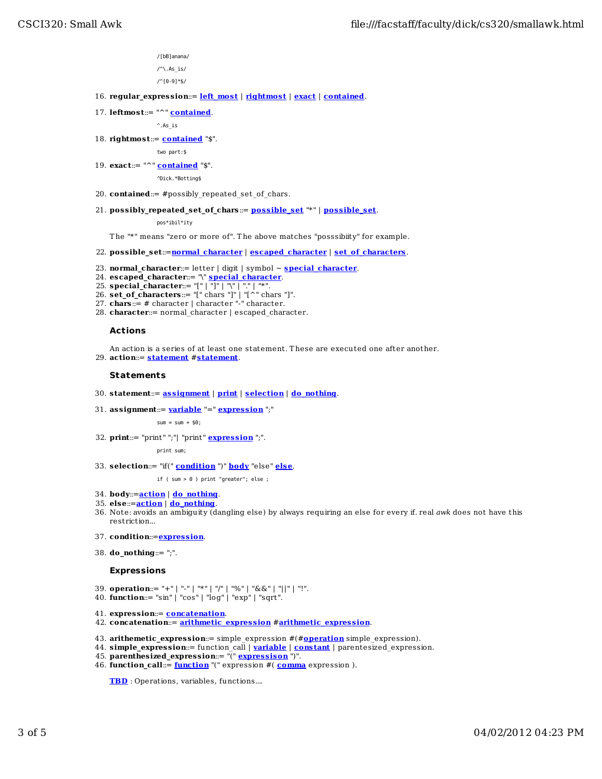/[bB]anana/

 $/^{\wedge}$ . As is/ /^[0-9]\*\$/

- 16. **regular\_express ion**::= **left\_most** | **rightmost** | **exact** | **contained**.
- **leftmost**::= "^" **contained**. 17.

 $^{\wedge}$ . As is

18. **rightmost::= <u>contained</u> "\$".** 

two part:\$

**exact**::= "^" **contained** "\$". 19.

^Dick.\*Botting\$

- 20. **contained**::= #possibly repeated set of chars.
- 21. possibly\_repeated\_set\_of\_chars::= <u>possible\_set</u> "\*" | <u>possible\_set</u>.

pos\*ibil\*ity

T he "\*" means "zero or more of". T he above matches "posssibiity" for example.

- 22. **poss ible\_set**::=**normal\_character** | **escaped\_character** | **set\_of\_characters**.
- 23. **normal\_character**::= letter | digit | symbol ~ **special\_character**.
- 24. **escaped\_character**::= "\" **special\_character**.
- 25. **special\_character**::= "[" | "]" | "\" | "." | "\*".
- 26. **set\_of\_characters**::= "[" chars "]" | "[^" chars "]".
- 27. **chars**::= # character | character "-" character.
- **character**::= normal\_character | escaped\_character. 28.

### **Act ions**

An action is a series of at least one statement. T hese are executed one after another. **action**::= **statement** #**statement**. 29.

#### **Statements**

- 30. **statement**::= **ass ignment** | **print** | **selection** | **do\_nothing**.
- **ass ignment**::= **variable** "=" **express ion** ";" 31.

 $sum = sum + $0$ :

32. **print**::= "print" ";"| "print" <mark>expression</mark> ";".

print sum;

**selection**::= "if(" **condition** ")" **body** "else" **else**. 33.

if ( sum > 0 ) print "greater"; else ;

- 34. **body**::=**action** | **do\_nothing**.
- 35. **else**::=**action** | **do\_nothing**.
- 36. Note: avoids an ambiguity (dangling else) by always requiring an else for every if. real *awk* does not have this restriction...
- 37. **condition**::=**express ion**.
- **do\_nothing**::= ";". 38.

#### **Expressions**

- 39. **operation**::= "+" | "-" | "\*" | "/" | "%" | "&&" | "||" | "!".
- 40. **function**::= "sin" | "cos" | "log" | "exp" | "sqrt".
- 41. **express ion**::= **concatenation**.
- 42. **concatenation**::= **arithmetic\_express ion** #**arithmetic\_express ion**.
- 43. **arithemetic\_express ion**::= simple\_expression #(#**operation** simple\_expression).
- 44. **s imple\_express ion**::= function\_call | **variable** | **constant** | parentesized\_expression.
- 45. **parenthes ized\_express ion**::= "(" **express ison** ")".
- **function\_call**::= **function** "(" expression #( **comma** expression ). 46.

**TBD** : Operations, variables, functions....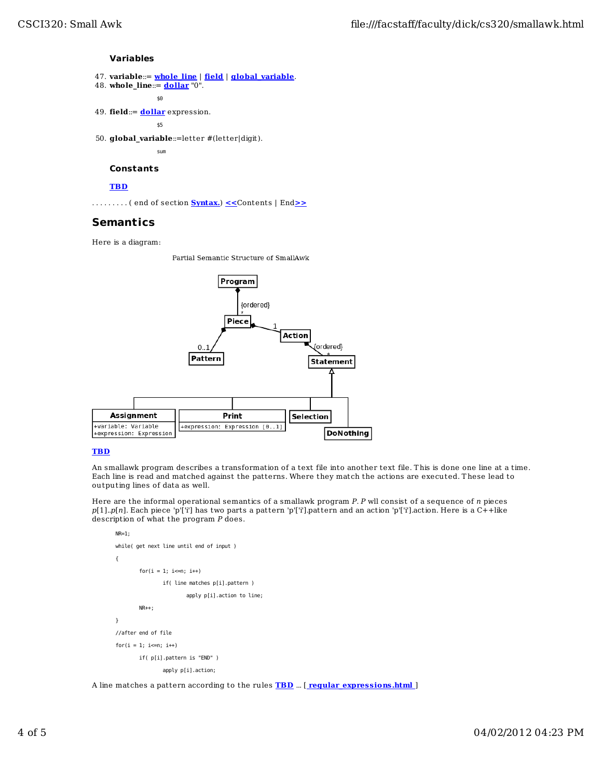### **Variables**

- 47. **variable**::= **whole\_line** | **field** | **global\_variable**.
- **whole\_line**::= **dollar** "0". 48.

```
\sim $0
```
49. **field::= <u>dollar</u> expression.** 

\$5

**global\_variable**::=letter #(letter|digit). 50.

sum

# **Constants**

### **TBD**

. . . . . . . . . ( end of section **Syntax.**) **<<**Contents | End**>>**

# **Semantics**

Here is a diagram:

Partial Semantic Structure of SmallAwk



# **TBD**

An smallawk program describes a transformation of a text file into another text file. T his is done one line at a time. Each line is read and matched against the patterns. Where they match the actions are executed. T hese lead to outputing lines of data as well.

Here are the informal operational semantics of a smallawk program *P*. *P* wll consist of a sequence of *n* pieces *p*[1]..*p*[*n*]. Each piece 'p'['i'] has two parts a pat tern 'p'['i'].pattern and an action 'p'['i'].action. Here is a C++like description of what the program *P* does.

```
NR=1:
 while( get next line until end of input )
 {
        for(i = 1; i \leq n; i++)if( line matches p[i].pattern )
                         apply p[i].action to line;
         NR++;
}
//after end of file
for(i = 1; i \leq n; i++) if( p[i].pattern is "END" )
                apply p[i].action;
```
A line matches a pattern according to the rules **TBD** ... [ **regular\_express ions .html** ]